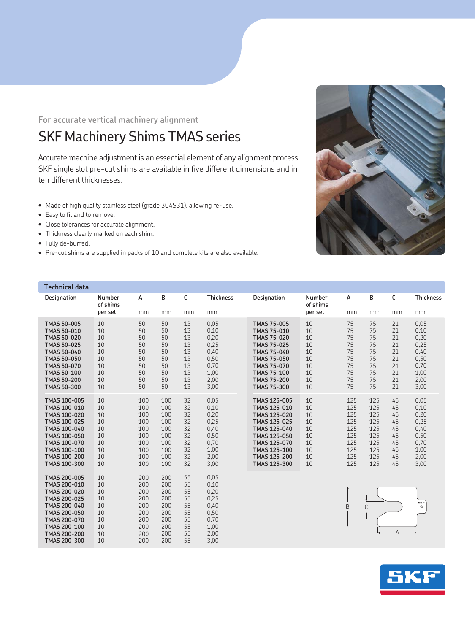**For accurate vertical machinery alignment** 

## SKF Machinery Shims TMAS series

Accurate machine adjustment is an essential element of any alignment process. SKF single slot pre-cut shims are available in five different dimensions and in ten different thicknesses.

- Made of high quality stainless steel (grade 304S31), allowing re-use.
- Easy to fit and to remove.
- Close tolerances for accurate alignment.
- Thickness clearly marked on each shim.
- Fully de-burred.
- Pre-cut shims are supplied in packs of 10 and complete kits are also available.



| <b>Technical data</b>                                                                                                                                                                                                    |                                                          |                                                                    |                                                                    |                                                          |                                                                              |                                                                                                                                                                                                                          |                                                          |                                                                    |                                                                    |                                                          |                                                                              |
|--------------------------------------------------------------------------------------------------------------------------------------------------------------------------------------------------------------------------|----------------------------------------------------------|--------------------------------------------------------------------|--------------------------------------------------------------------|----------------------------------------------------------|------------------------------------------------------------------------------|--------------------------------------------------------------------------------------------------------------------------------------------------------------------------------------------------------------------------|----------------------------------------------------------|--------------------------------------------------------------------|--------------------------------------------------------------------|----------------------------------------------------------|------------------------------------------------------------------------------|
| Designation                                                                                                                                                                                                              | Number<br>of shims                                       | A                                                                  | в                                                                  | С                                                        | <b>Thickness</b>                                                             | Designation                                                                                                                                                                                                              | Number<br>of shims                                       | A                                                                  | B                                                                  | C                                                        | <b>Thickness</b>                                                             |
|                                                                                                                                                                                                                          | per set                                                  | mm                                                                 | mm                                                                 | mm                                                       | mm                                                                           |                                                                                                                                                                                                                          | per set                                                  | mm                                                                 | mm                                                                 | mm                                                       | mm                                                                           |
| <b>TMAS 50-005</b><br><b>TMAS 50-010</b><br><b>TMAS 50-020</b><br><b>TMAS 50-025</b><br><b>TMAS 50-040</b><br><b>TMAS 50-050</b><br><b>TMAS 50-070</b><br><b>TMAS 50-100</b><br><b>TMAS 50-200</b><br><b>TMAS 50-300</b> | 10<br>10<br>10<br>10<br>10<br>10<br>10<br>10<br>10<br>10 | 50<br>50<br>50<br>50<br>50<br>50<br>50<br>50<br>50<br>50           | 50<br>50<br>50<br>50<br>50<br>50<br>50<br>50<br>50<br>50           | 13<br>13<br>13<br>13<br>13<br>13<br>13<br>13<br>13<br>13 | 0.05<br>0.10<br>0,20<br>0,25<br>0.40<br>0,50<br>0.70<br>1,00<br>2,00<br>3,00 | <b>TMAS 75-005</b><br><b>TMAS 75-010</b><br><b>TMAS 75-020</b><br><b>TMAS 75-025</b><br><b>TMAS 75-040</b><br><b>TMAS 75-050</b><br><b>TMAS 75-070</b><br><b>TMAS 75-100</b><br><b>TMAS 75-200</b><br><b>TMAS 75-300</b> | 10<br>10<br>10<br>10<br>10<br>10<br>10<br>10<br>10<br>10 | 75<br>75<br>75<br>75<br>75<br>75<br>75<br>75<br>75<br>75           | 75<br>75<br>75<br>75<br>75<br>75<br>75<br>75<br>75<br>75           | 21<br>21<br>21<br>21<br>21<br>21<br>21<br>21<br>21<br>21 | 0,05<br>0,10<br>0,20<br>0,25<br>0,40<br>0,50<br>0,70<br>1,00<br>2,00<br>3,00 |
| TMAS 100-005<br>TMAS 100-010<br>TMAS 100-020<br>TMAS 100-025<br>TMAS 100-040<br>TMAS 100-050<br>TMAS 100-070<br>TMAS 100-100<br>TMAS 100-200<br>TMAS 100-300                                                             | 10<br>10<br>10<br>10<br>10<br>10<br>10<br>10<br>10<br>10 | 100<br>100<br>100<br>100<br>100<br>100<br>100<br>100<br>100<br>100 | 100<br>100<br>100<br>100<br>100<br>100<br>100<br>100<br>100<br>100 | 32<br>32<br>32<br>32<br>32<br>32<br>32<br>32<br>32<br>32 | 0.05<br>0,10<br>0,20<br>0,25<br>0,40<br>0.50<br>0.70<br>1,00<br>2,00<br>3,00 | TMAS 125-005<br>TMAS 125-010<br>TMAS 125-020<br>TMAS 125-025<br>TMAS 125-040<br>TMAS 125-050<br>TMAS 125-070<br>TMAS 125-100<br>TMAS 125-200<br>TMAS 125-300                                                             | 10<br>10<br>10<br>10<br>10<br>10<br>10<br>10<br>10<br>10 | 125<br>125<br>125<br>125<br>125<br>125<br>125<br>125<br>125<br>125 | 125<br>125<br>125<br>125<br>125<br>125<br>125<br>125<br>125<br>125 | 45<br>45<br>45<br>45<br>45<br>45<br>45<br>45<br>45<br>45 | 0.05<br>0,10<br>0,20<br>0,25<br>0,40<br>0,50<br>0,70<br>1,00<br>2,00<br>3,00 |
| TMAS 200-005<br>TMAS 200-010<br>TMAS 200-020<br>TMAS 200-025<br>TMAS 200-040<br>TMAS 200-050<br>TMAS 200-070<br>TMAS 200-100<br>TMAS 200-200<br>TMAS 200-300                                                             | 10<br>10<br>10<br>10<br>10<br>10<br>10<br>10<br>10<br>10 | 200<br>200<br>200<br>200<br>200<br>200<br>200<br>200<br>200<br>200 | 200<br>200<br>200<br>200<br>200<br>200<br>200<br>200<br>200<br>200 | 55<br>55<br>55<br>55<br>55<br>55<br>55<br>55<br>55<br>55 | 0.05<br>0,10<br>0,20<br>0,25<br>0,40<br>0,50<br>0,70<br>1,00<br>2,00<br>3,00 |                                                                                                                                                                                                                          |                                                          | B                                                                  | C                                                                  | $\overline{A}$                                           | SKF<br>$\circ$                                                               |